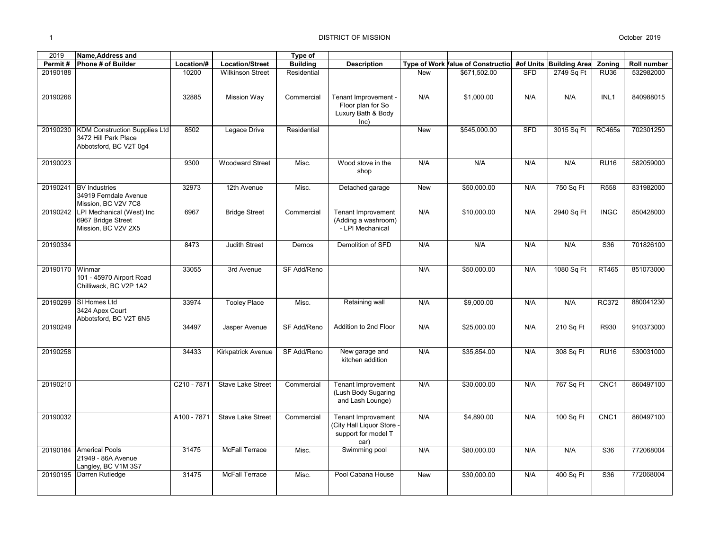| 2019     | <b>Name, Address and</b>                                                               |             |                          | Type of         |                                                                                 |            |                                                            |            |            |                  |             |
|----------|----------------------------------------------------------------------------------------|-------------|--------------------------|-----------------|---------------------------------------------------------------------------------|------------|------------------------------------------------------------|------------|------------|------------------|-------------|
| Permit#  | Phone # of Builder                                                                     | Location/#  | <b>Location/Street</b>   | <b>Building</b> | <b>Description</b>                                                              |            | Type of Work Value of Construction #of Units Building Area |            |            | Zoning           | Roll number |
| 20190188 |                                                                                        | 10200       | <b>Wilkinson Street</b>  | Residential     |                                                                                 | New        | \$671,502.00                                               | <b>SFD</b> | 2749 Sq Ft | <b>RU36</b>      | 532982000   |
| 20190266 |                                                                                        | 32885       | <b>Mission Way</b>       | Commercial      | Tenant Improvement -<br>Floor plan for So<br>Luxury Bath & Body<br>$ nc\rangle$ | N/A        | \$1,000.00                                                 | N/A        | N/A        | INL1             | 840988015   |
| 20190230 | <b>KDM Construction Supplies Ltd</b><br>3472 Hill Park Place<br>Abbotsford, BC V2T 0g4 | 8502        | Legace Drive             | Residential     |                                                                                 | <b>New</b> | \$545,000.00                                               | <b>SFD</b> | 3015 Sq Ft | <b>RC465s</b>    | 702301250   |
| 20190023 |                                                                                        | 9300        | <b>Woodward Street</b>   | Misc.           | Wood stove in the<br>shop                                                       | N/A        | N/A                                                        | N/A        | N/A        | <b>RU16</b>      | 582059000   |
| 20190241 | <b>BV</b> Industries<br>34919 Ferndale Avenue<br>Mission, BC V2V 7C8                   | 32973       | 12th Avenue              | Misc.           | Detached garage                                                                 | New        | \$50,000.00                                                | N/A        | 750 Sq Ft  | R558             | 831982000   |
| 20190242 | LPI Mechanical (West) Inc<br>6967 Bridge Street<br>Mission, BC V2V 2X5                 | 6967        | <b>Bridge Street</b>     | Commercial      | <b>Tenant Improvement</b><br>(Adding a washroom)<br>- LPI Mechanical            | N/A        | \$10,000.00                                                | N/A        | 2940 Sq Ft | <b>INGC</b>      | 850428000   |
| 20190334 |                                                                                        | 8473        | <b>Judith Street</b>     | Demos           | Demolition of SFD                                                               | N/A        | N/A                                                        | N/A        | N/A        | S36              | 701826100   |
| 20190170 | Winmar<br>101 - 45970 Airport Road<br>Chilliwack, BC V2P 1A2                           | 33055       | 3rd Avenue               | SF Add/Reno     |                                                                                 | N/A        | \$50,000.00                                                | N/A        | 1080 Sq Ft | <b>RT465</b>     | 851073000   |
| 20190299 | SI Homes Ltd<br>3424 Apex Court<br>Abbotsford, BC V2T 6N5                              | 33974       | <b>Tooley Place</b>      | Misc.           | Retaining wall                                                                  | N/A        | \$9,000.00                                                 | N/A        | N/A        | <b>RC372</b>     | 880041230   |
| 20190249 |                                                                                        | 34497       | Jasper Avenue            | SF Add/Reno     | Addition to 2nd Floor                                                           | N/A        | \$25,000.00                                                | N/A        | 210 Sq Ft  | R930             | 910373000   |
| 20190258 |                                                                                        | 34433       | Kirkpatrick Avenue       | SF Add/Reno     | New garage and<br>kitchen addition                                              | N/A        | \$35,854.00                                                | N/A        | 308 Sq Ft  | <b>RU16</b>      | 530031000   |
| 20190210 |                                                                                        | C210 - 7871 | <b>Stave Lake Street</b> | Commercial      | Tenant Improvement<br>(Lush Body Sugaring<br>and Lash Lounge)                   | N/A        | \$30,000.00                                                | N/A        | 767 Sq Ft  | CNC <sub>1</sub> | 860497100   |
| 20190032 |                                                                                        | A100 - 7871 | <b>Stave Lake Street</b> | Commercial      | Tenant Improvement<br>(City Hall Liquor Store -<br>support for model T<br>car)  | N/A        | \$4,890.00                                                 | N/A        | 100 Sq Ft  | CNC <sub>1</sub> | 860497100   |
| 20190184 | <b>Americal Pools</b><br>21949 - 86A Avenue<br>Langley, BC V1M 3S7                     | 31475       | <b>McFall Terrace</b>    | Misc.           | Swimming pool                                                                   | N/A        | \$80,000.00                                                | N/A        | N/A        | S36              | 772068004   |
| 20190195 | Darren Rutledge                                                                        | 31475       | <b>McFall Terrace</b>    | Misc.           | Pool Cabana House                                                               | New        | \$30,000.00                                                | N/A        | 400 Sq Ft  | S36              | 772068004   |